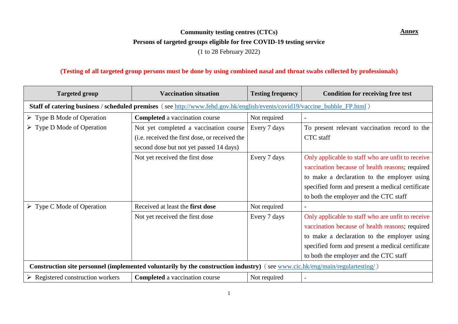## **Community testing centres (CTCs)** Annex **Persons of targeted groups eligible for free COVID-19 testing service** (1 to 28 February 2022)

## **(Testing of all targeted group persons must be done by using combined nasal and throat swabs collected by professionals)**

| <b>Targeted group</b>                                                                                                        | <b>Vaccination situation</b>                                                                                               | <b>Testing frequency</b> | <b>Condition for receiving free test</b>          |
|------------------------------------------------------------------------------------------------------------------------------|----------------------------------------------------------------------------------------------------------------------------|--------------------------|---------------------------------------------------|
|                                                                                                                              | Staff of catering business / scheduled premises (see http://www.fehd.gov.hk/english/events/covid19/vaccine_bubble_FP.html) |                          |                                                   |
| $\triangleright$ Type B Mode of Operation                                                                                    | <b>Completed</b> a vaccination course                                                                                      | Not required             | $\overline{\phantom{a}}$                          |
| $\triangleright$ Type D Mode of Operation                                                                                    | Not yet completed a vaccination course                                                                                     | Every 7 days             | To present relevant vaccination record to the     |
|                                                                                                                              | (i.e. received the first dose, or received the                                                                             |                          | CTC staff                                         |
|                                                                                                                              | second dose but not yet passed 14 days)                                                                                    |                          |                                                   |
|                                                                                                                              | Not yet received the first dose                                                                                            | Every 7 days             | Only applicable to staff who are unfit to receive |
|                                                                                                                              |                                                                                                                            |                          | vaccination because of health reasons; required   |
|                                                                                                                              |                                                                                                                            |                          | to make a declaration to the employer using       |
|                                                                                                                              |                                                                                                                            |                          | specified form and present a medical certificate  |
|                                                                                                                              |                                                                                                                            |                          | to both the employer and the CTC staff            |
| $\triangleright$ Type C Mode of Operation                                                                                    | Received at least the first dose                                                                                           | Not required             | $\overline{\phantom{a}}$                          |
|                                                                                                                              | Not yet received the first dose                                                                                            | Every 7 days             | Only applicable to staff who are unfit to receive |
|                                                                                                                              |                                                                                                                            |                          | vaccination because of health reasons; required   |
|                                                                                                                              |                                                                                                                            |                          | to make a declaration to the employer using       |
|                                                                                                                              |                                                                                                                            |                          | specified form and present a medical certificate  |
|                                                                                                                              |                                                                                                                            |                          | to both the employer and the CTC staff            |
| Construction site personnel (implemented voluntarily by the construction industry) (see www.cic.hk/eng/main/regulartesting/) |                                                                                                                            |                          |                                                   |
| $\triangleright$ Registered construction workers                                                                             | <b>Completed</b> a vaccination course                                                                                      | Not required             |                                                   |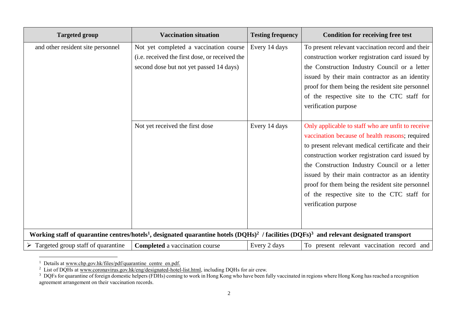| <b>Targeted group</b>                                                                                                                                       | <b>Vaccination situation</b>                                                                                                                                           | <b>Testing frequency</b>       | <b>Condition for receiving free test</b>                                                                                                                                                                                                                                                                                                                                               |
|-------------------------------------------------------------------------------------------------------------------------------------------------------------|------------------------------------------------------------------------------------------------------------------------------------------------------------------------|--------------------------------|----------------------------------------------------------------------------------------------------------------------------------------------------------------------------------------------------------------------------------------------------------------------------------------------------------------------------------------------------------------------------------------|
| and other resident site personnel                                                                                                                           | Not yet completed a vaccination course<br>(i.e. received the first dose, or received the<br>second dose but not yet passed 14 days)<br>Not yet received the first dose | Every 14 days<br>Every 14 days | To present relevant vaccination record and their<br>construction worker registration card issued by<br>the Construction Industry Council or a letter<br>issued by their main contractor as an identity<br>proof for them being the resident site personnel<br>of the respective site to the CTC staff for<br>verification purpose<br>Only applicable to staff who are unfit to receive |
|                                                                                                                                                             |                                                                                                                                                                        |                                | vaccination because of health reasons; required<br>to present relevant medical certificate and their<br>construction worker registration card issued by<br>the Construction Industry Council or a letter<br>issued by their main contractor as an identity<br>proof for them being the resident site personnel<br>of the respective site to the CTC staff for<br>verification purpose  |
| Working staff of quarantine centres/hotels <sup>1</sup> , designated quarantine hotels $(DQHs)^2$ / facilities $(DQFs)^3$ and relevant designated transport |                                                                                                                                                                        |                                |                                                                                                                                                                                                                                                                                                                                                                                        |
| $\triangleright$ Targeted group staff of quarantine                                                                                                         | <b>Completed</b> a vaccination course                                                                                                                                  | Every 2 days                   | To present relevant vaccination record and                                                                                                                                                                                                                                                                                                                                             |

<sup>&</sup>lt;sup>1</sup> Details at [www.chp.gov.hk/files/pdf/quarantine\\_centre\\_en.pdf.](https://www.chp.gov.hk/files/pdf/quarantine_centre_en.pdf)

 $\overline{a}$ 

<sup>&</sup>lt;sup>2</sup> List of DQHs at [www.coronavirus.gov.hk/eng/designated-hotel-list.html,](http://www.coronavirus.gov.hk/eng/designated-hotel-list.html) including DQHs for air crew.

 $3\text{ DQFs}$  for quarantine of foreign domestic helpers (FDHs) coming to work in Hong Kong who have been fully vaccinated in regions where Hong Kong has reached a recognition agreement arrangement on their vaccination records.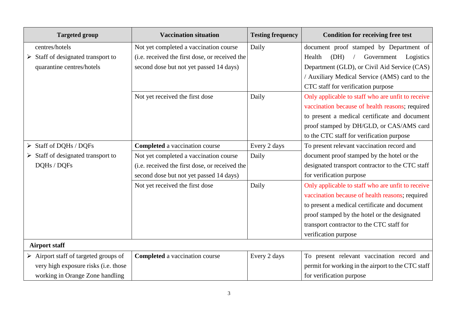| <b>Targeted group</b>                                | <b>Vaccination situation</b>                   | <b>Testing frequency</b> | <b>Condition for receiving free test</b>           |
|------------------------------------------------------|------------------------------------------------|--------------------------|----------------------------------------------------|
| centres/hotels                                       | Not yet completed a vaccination course         | Daily                    | document proof stamped by Department of            |
| Staff of designated transport to                     | (i.e. received the first dose, or received the |                          | (DH)<br>Government<br>Health<br>Logistics          |
| quarantine centres/hotels                            | second dose but not yet passed 14 days)        |                          | Department (GLD), or Civil Aid Service (CAS)       |
|                                                      |                                                |                          | / Auxiliary Medical Service (AMS) card to the      |
|                                                      |                                                |                          | CTC staff for verification purpose                 |
|                                                      | Not yet received the first dose                | Daily                    | Only applicable to staff who are unfit to receive  |
|                                                      |                                                |                          | vaccination because of health reasons; required    |
|                                                      |                                                |                          | to present a medical certificate and document      |
|                                                      |                                                |                          | proof stamped by DH/GLD, or CAS/AMS card           |
|                                                      |                                                |                          | to the CTC staff for verification purpose          |
| $\triangleright$ Staff of DQHs / DQFs                | <b>Completed</b> a vaccination course          | Every 2 days             | To present relevant vaccination record and         |
| Staff of designated transport to                     | Not yet completed a vaccination course         | Daily                    | document proof stamped by the hotel or the         |
| DQHs / DQFs                                          | (i.e. received the first dose, or received the |                          | designated transport contractor to the CTC staff   |
|                                                      | second dose but not yet passed 14 days)        |                          | for verification purpose                           |
|                                                      | Not yet received the first dose                | Daily                    | Only applicable to staff who are unfit to receive  |
|                                                      |                                                |                          | vaccination because of health reasons; required    |
|                                                      |                                                |                          | to present a medical certificate and document      |
|                                                      |                                                |                          | proof stamped by the hotel or the designated       |
|                                                      |                                                |                          | transport contractor to the CTC staff for          |
|                                                      |                                                |                          | verification purpose                               |
| <b>Airport staff</b>                                 |                                                |                          |                                                    |
| $\triangleright$ Airport staff of targeted groups of | <b>Completed</b> a vaccination course          | Every 2 days             | To present relevant vaccination record and         |
| very high exposure risks (i.e. those                 |                                                |                          | permit for working in the airport to the CTC staff |
| working in Orange Zone handling                      |                                                |                          | for verification purpose                           |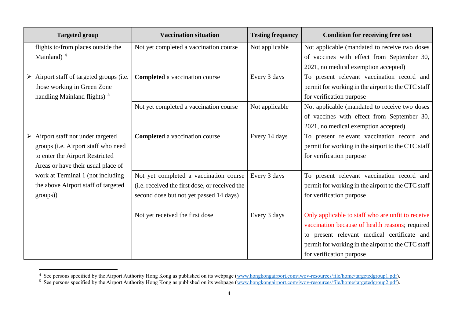| <b>Targeted group</b>                             | <b>Vaccination situation</b>                   | <b>Testing frequency</b> | <b>Condition for receiving free test</b>           |
|---------------------------------------------------|------------------------------------------------|--------------------------|----------------------------------------------------|
| flights to/from places outside the                | Not yet completed a vaccination course         | Not applicable           | Not applicable (mandated to receive two doses      |
| Mainland) $4$                                     |                                                |                          | of vaccines with effect from September 30,         |
|                                                   |                                                |                          | 2021, no medical exemption accepted)               |
| Airport staff of targeted groups (i.e.<br>➤       | <b>Completed</b> a vaccination course          | Every 3 days             | To present relevant vaccination record and         |
| those working in Green Zone                       |                                                |                          | permit for working in the airport to the CTC staff |
| handling Mainland flights) <sup>5</sup>           |                                                |                          | for verification purpose                           |
|                                                   | Not yet completed a vaccination course         | Not applicable           | Not applicable (mandated to receive two doses      |
|                                                   |                                                |                          | of vaccines with effect from September 30,         |
|                                                   |                                                |                          | 2021, no medical exemption accepted)               |
| $\triangleright$ Airport staff not under targeted | <b>Completed</b> a vaccination course          | Every 14 days            | To present relevant vaccination record and         |
| groups (i.e. Airport staff who need               |                                                |                          | permit for working in the airport to the CTC staff |
| to enter the Airport Restricted                   |                                                |                          | for verification purpose                           |
| Areas or have their usual place of                |                                                |                          |                                                    |
| work at Terminal 1 (not including                 | Not yet completed a vaccination course         | Every 3 days             | To present relevant vaccination record and         |
| the above Airport staff of targeted               | (i.e. received the first dose, or received the |                          | permit for working in the airport to the CTC staff |
| groups))                                          | second dose but not yet passed 14 days)        |                          | for verification purpose                           |
|                                                   | Not yet received the first dose                | Every 3 days             | Only applicable to staff who are unfit to receive  |
|                                                   |                                                |                          | vaccination because of health reasons; required    |
|                                                   |                                                |                          | to present relevant medical certificate and        |
|                                                   |                                                |                          | permit for working in the airport to the CTC staff |
|                                                   |                                                |                          | for verification purpose                           |

<sup>&</sup>lt;sup>4</sup> See persons specified by the Airport Authority Hong Kong as published on its webpage [\(www.hongkongairport.com/iwov-resources/file/home/targetedgroup1.pdf\)](http://www.hongkongairport.com/iwov-resources/file/home/targetedgroup1.pdf).

l

<sup>&</sup>lt;sup>5</sup> See persons specified by the Airport Authority Hong Kong as published on its webpage [\(www.hongkongairport.com/iwov-resources/file/home/targetedgroup2.pdf\)](http://www.hongkongairport.com/iwov-resources/file/home/targetedgroup2.pdf).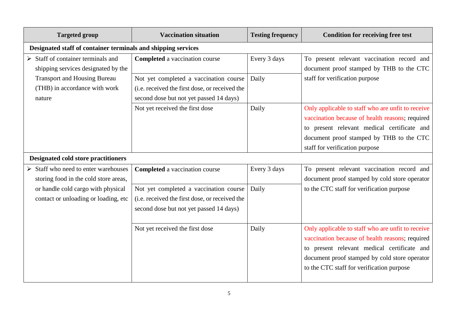| <b>Targeted group</b>                                                                                                                                                      | <b>Vaccination situation</b>                                                                                                        | <b>Testing frequency</b> | <b>Condition for receiving free test</b>                                                                                                                                                                                                          |  |  |
|----------------------------------------------------------------------------------------------------------------------------------------------------------------------------|-------------------------------------------------------------------------------------------------------------------------------------|--------------------------|---------------------------------------------------------------------------------------------------------------------------------------------------------------------------------------------------------------------------------------------------|--|--|
|                                                                                                                                                                            | Designated staff of container terminals and shipping services                                                                       |                          |                                                                                                                                                                                                                                                   |  |  |
| $\triangleright$ Staff of container terminals and<br>shipping services designated by the<br><b>Transport and Housing Bureau</b><br>(THB) in accordance with work<br>nature | <b>Completed</b> a vaccination course                                                                                               | Every 3 days             | To present relevant vaccination record and<br>document proof stamped by THB to the CTC<br>staff for verification purpose                                                                                                                          |  |  |
|                                                                                                                                                                            | Not yet completed a vaccination course<br>(i.e. received the first dose, or received the<br>second dose but not yet passed 14 days) | Daily                    |                                                                                                                                                                                                                                                   |  |  |
|                                                                                                                                                                            | Not yet received the first dose                                                                                                     | Daily                    | Only applicable to staff who are unfit to receive<br>vaccination because of health reasons; required<br>to present relevant medical certificate and<br>document proof stamped by THB to the CTC<br>staff for verification purpose                 |  |  |
| <b>Designated cold store practitioners</b>                                                                                                                                 |                                                                                                                                     |                          |                                                                                                                                                                                                                                                   |  |  |
| $\triangleright$ Staff who need to enter warehouses<br>storing food in the cold store areas,                                                                               | <b>Completed</b> a vaccination course                                                                                               | Every 3 days             | To present relevant vaccination record and<br>document proof stamped by cold store operator<br>to the CTC staff for verification purpose                                                                                                          |  |  |
| or handle cold cargo with physical<br>contact or unloading or loading, etc                                                                                                 | Not yet completed a vaccination course<br>(i.e. received the first dose, or received the<br>second dose but not yet passed 14 days) | Daily                    |                                                                                                                                                                                                                                                   |  |  |
|                                                                                                                                                                            | Not yet received the first dose                                                                                                     | Daily                    | Only applicable to staff who are unfit to receive<br>vaccination because of health reasons; required<br>to present relevant medical certificate and<br>document proof stamped by cold store operator<br>to the CTC staff for verification purpose |  |  |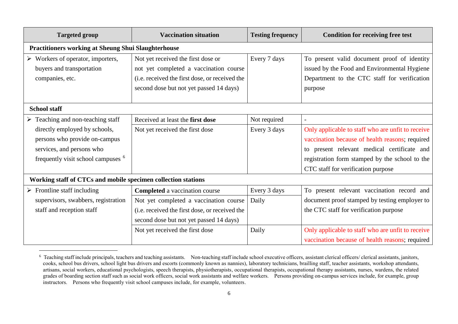| <b>Targeted group</b>                                                                                                                        | <b>Vaccination situation</b>                                                                                                                                              | <b>Testing frequency</b> | <b>Condition for receiving free test</b>                                                                                                                                                                                                    |  |
|----------------------------------------------------------------------------------------------------------------------------------------------|---------------------------------------------------------------------------------------------------------------------------------------------------------------------------|--------------------------|---------------------------------------------------------------------------------------------------------------------------------------------------------------------------------------------------------------------------------------------|--|
| <b>Practitioners working at Sheung Shui Slaughterhouse</b>                                                                                   |                                                                                                                                                                           |                          |                                                                                                                                                                                                                                             |  |
| $\triangleright$ Workers of operator, importers,<br>buyers and transportation<br>companies, etc.                                             | Not yet received the first dose or<br>not yet completed a vaccination course<br>(i.e. received the first dose, or received the<br>second dose but not yet passed 14 days) | Every 7 days             | To present valid document proof of identity<br>issued by the Food and Environmental Hygiene<br>Department to the CTC staff for verification<br>purpose                                                                                      |  |
| <b>School staff</b>                                                                                                                          |                                                                                                                                                                           |                          |                                                                                                                                                                                                                                             |  |
| $\triangleright$ Teaching and non-teaching staff                                                                                             | Received at least the first dose                                                                                                                                          | Not required             | $\overline{a}$                                                                                                                                                                                                                              |  |
| directly employed by schools,<br>persons who provide on-campus<br>services, and persons who<br>frequently visit school campuses <sup>6</sup> | Not yet received the first dose                                                                                                                                           | Every 3 days             | Only applicable to staff who are unfit to receive<br>vaccination because of health reasons; required<br>to present relevant medical certificate and<br>registration form stamped by the school to the<br>CTC staff for verification purpose |  |
| Working staff of CTCs and mobile specimen collection stations                                                                                |                                                                                                                                                                           |                          |                                                                                                                                                                                                                                             |  |
| $\triangleright$ Frontline staff including                                                                                                   | <b>Completed</b> a vaccination course                                                                                                                                     | Every 3 days             | To present relevant vaccination record and                                                                                                                                                                                                  |  |
| supervisors, swabbers, registration<br>staff and reception staff                                                                             | Not yet completed a vaccination course<br>(i.e. received the first dose, or received the<br>second dose but not yet passed 14 days)                                       | Daily                    | document proof stamped by testing employer to<br>the CTC staff for verification purpose                                                                                                                                                     |  |
|                                                                                                                                              | Not yet received the first dose                                                                                                                                           | Daily                    | Only applicable to staff who are unfit to receive<br>vaccination because of health reasons; required                                                                                                                                        |  |

<sup>&</sup>lt;sup>6</sup> Teaching staff include principals, teachers and teaching assistants. Non-teaching staff include school executive officers, assistant clerical officers/ clerical assistants, janitors, cooks, school bus drivers, school light bus drivers and escorts (commonly known as nannies), laboratory technicians, brailling staff, teacher assistants, workshop attendants, artisans, social workers, educational psychologists, speech therapists, physiotherapists, occupational therapists, occupational therapy assistants, nurses, wardens, the related grades of boarding section staff such as social work officers, social work assistants and welfare workers. Persons providing on-campus services include, for example, group instructors. Persons who frequently visit school campuses include, for example, volunteers.

l